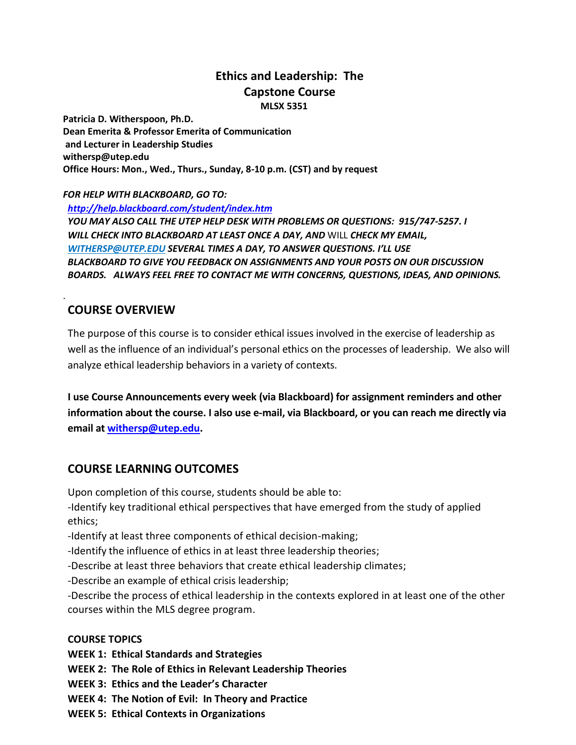## **Ethics and Leadership: The Capstone Course MLSX 5351**

**Patricia D. Witherspoon, Ph.D. Dean Emerita & Professor Emerita of Communication and Lecturer in Leadership Studies withersp@utep.edu Office Hours: Mon., Wed., Thurs., Sunday, 8-10 p.m. (CST) and by request**

*FOR HELP WITH BLACKBOARD, GO TO:*

*<http://help.blackboard.com/student/index.htm> YOU MAY ALSO CALL THE UTEP HELP DESK WITH PROBLEMS OR QUESTIONS: 915/747-5257. I WILL CHECK INTO BLACKBOARD AT LEAST ONCE A DAY, AND* WILL *CHECK MY EMAIL, [WITHERSP@UTEP.EDU](mailto:WITHERSP@UTEP.EDU) SEVERAL TIMES A DAY, TO ANSWER QUESTIONS. I'LL USE BLACKBOARD TO GIVE YOU FEEDBACK ON ASSIGNMENTS AND YOUR POSTS ON OUR DISCUSSION BOARDS. ALWAYS FEEL FREE TO CONTACT ME WITH CONCERNS, QUESTIONS, IDEAS, AND OPINIONS.*

## **COURSE OVERVIEW**

.

The purpose of this course is to consider ethical issues involved in the exercise of leadership as well as the influence of an individual's personal ethics on the processes of leadership. We also will analyze ethical leadership behaviors in a variety of contexts.

**I use Course Announcements every week (via Blackboard) for assignment reminders and other information about the course. I also use e-mail, via Blackboard, or you can reach me directly via email at [withersp@utep.edu.](mailto:withersp@utep.edu)**

### **COURSE LEARNING OUTCOMES**

Upon completion of this course, students should be able to:

-Identify key traditional ethical perspectives that have emerged from the study of applied ethics;

-Identify at least three components of ethical decision-making;

-Identify the influence of ethics in at least three leadership theories;

-Describe at least three behaviors that create ethical leadership climates;

-Describe an example of ethical crisis leadership;

-Describe the process of ethical leadership in the contexts explored in at least one of the other courses within the MLS degree program.

#### **COURSE TOPICS**

**WEEK 1: Ethical Standards and Strategies**

**WEEK 2: The Role of Ethics in Relevant Leadership Theories**

**WEEK 3: Ethics and the Leader's Character**

**WEEK 4: The Notion of Evil: In Theory and Practice**

**WEEK 5: Ethical Contexts in Organizations**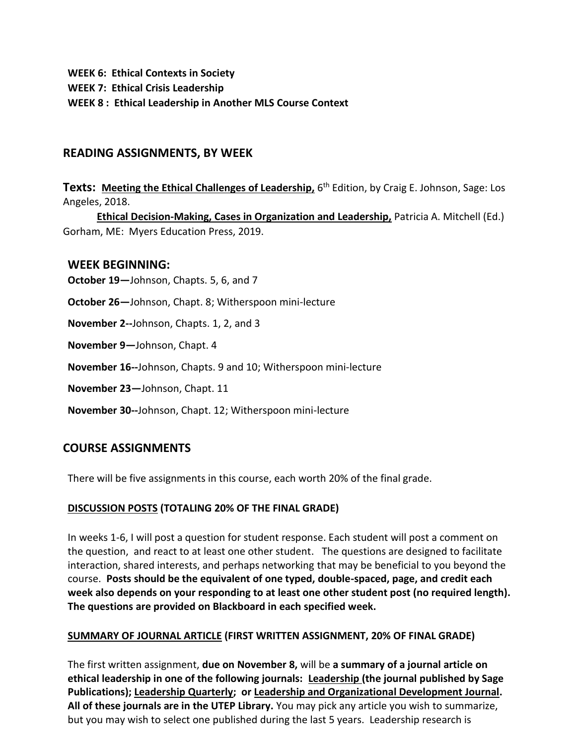**WEEK 6: Ethical Contexts in Society**

**WEEK 7: Ethical Crisis Leadership**

**WEEK 8 : Ethical Leadership in Another MLS Course Context**

# **READING ASSIGNMENTS, BY WEEK**

**Texts: Meeting the Ethical Challenges of Leadership,** 6 th Edition, by Craig E. Johnson, Sage: Los Angeles, 2018.

**Ethical Decision-Making, Cases in Organization and Leadership,** Patricia A. Mitchell (Ed.) Gorham, ME: Myers Education Press, 2019.

## **WEEK BEGINNING:**

**October 19—**Johnson, Chapts. 5, 6, and 7

**October 26—**Johnson, Chapt. 8; Witherspoon mini-lecture

**November 2--**Johnson, Chapts. 1, 2, and 3

**November 9—**Johnson, Chapt. 4

**November 16--**Johnson, Chapts. 9 and 10; Witherspoon mini-lecture

**November 23—**Johnson, Chapt. 11

**November 30--**Johnson, Chapt. 12; Witherspoon mini-lecture

# **COURSE ASSIGNMENTS**

There will be five assignments in this course, each worth 20% of the final grade.

### **DISCUSSION POSTS (TOTALING 20% OF THE FINAL GRADE)**

In weeks 1-6, I will post a question for student response. Each student will post a comment on the question, and react to at least one other student. The questions are designed to facilitate interaction, shared interests, and perhaps networking that may be beneficial to you beyond the course. **Posts should be the equivalent of one typed, double-spaced, page, and credit each week also depends on your responding to at least one other student post (no required length). The questions are provided on Blackboard in each specified week.**

### **SUMMARY OF JOURNAL ARTICLE (FIRST WRITTEN ASSIGNMENT, 20% OF FINAL GRADE)**

The first written assignment, **due on November 8,** will be **a summary of a journal article on ethical leadership in one of the following journals: Leadership (the journal published by Sage Publications); Leadership Quarterly; or Leadership and Organizational Development Journal. All of these journals are in the UTEP Library.** You may pick any article you wish to summarize, but you may wish to select one published during the last 5 years. Leadership research is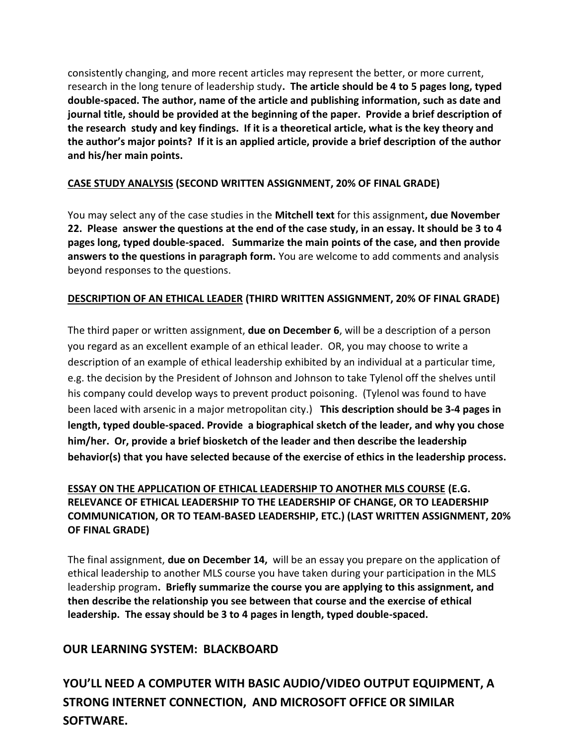consistently changing, and more recent articles may represent the better, or more current, research in the long tenure of leadership study**. The article should be 4 to 5 pages long, typed double-spaced. The author, name of the article and publishing information, such as date and journal title, should be provided at the beginning of the paper. Provide a brief description of the research study and key findings. If it is a theoretical article, what is the key theory and the author's major points? If it is an applied article, provide a brief description of the author and his/her main points.**

### **CASE STUDY ANALYSIS (SECOND WRITTEN ASSIGNMENT, 20% OF FINAL GRADE)**

You may select any of the case studies in the **Mitchell text** for this assignment**, due November 22. Please answer the questions at the end of the case study, in an essay. It should be 3 to 4 pages long, typed double-spaced. Summarize the main points of the case, and then provide answers to the questions in paragraph form.** You are welcome to add comments and analysis beyond responses to the questions.

## **DESCRIPTION OF AN ETHICAL LEADER (THIRD WRITTEN ASSIGNMENT, 20% OF FINAL GRADE)**

The third paper or written assignment, **due on December 6**, will be a description of a person you regard as an excellent example of an ethical leader. OR, you may choose to write a description of an example of ethical leadership exhibited by an individual at a particular time, e.g. the decision by the President of Johnson and Johnson to take Tylenol off the shelves until his company could develop ways to prevent product poisoning. (Tylenol was found to have been laced with arsenic in a major metropolitan city.) **This description should be 3-4 pages in length, typed double-spaced. Provide a biographical sketch of the leader, and why you chose him/her. Or, provide a brief biosketch of the leader and then describe the leadership behavior(s) that you have selected because of the exercise of ethics in the leadership process.**

# **ESSAY ON THE APPLICATION OF ETHICAL LEADERSHIP TO ANOTHER MLS COURSE (E.G. RELEVANCE OF ETHICAL LEADERSHIP TO THE LEADERSHIP OF CHANGE, OR TO LEADERSHIP COMMUNICATION, OR TO TEAM-BASED LEADERSHIP, ETC.) (LAST WRITTEN ASSIGNMENT, 20% OF FINAL GRADE)**

The final assignment, **due on December 14,** will be an essay you prepare on the application of ethical leadership to another MLS course you have taken during your participation in the MLS leadership program**. Briefly summarize the course you are applying to this assignment, and then describe the relationship you see between that course and the exercise of ethical leadership. The essay should be 3 to 4 pages in length, typed double-spaced.**

# **OUR LEARNING SYSTEM: BLACKBOARD**

**YOU'LL NEED A COMPUTER WITH BASIC AUDIO/VIDEO OUTPUT EQUIPMENT, A STRONG INTERNET CONNECTION, AND MICROSOFT OFFICE OR SIMILAR SOFTWARE.**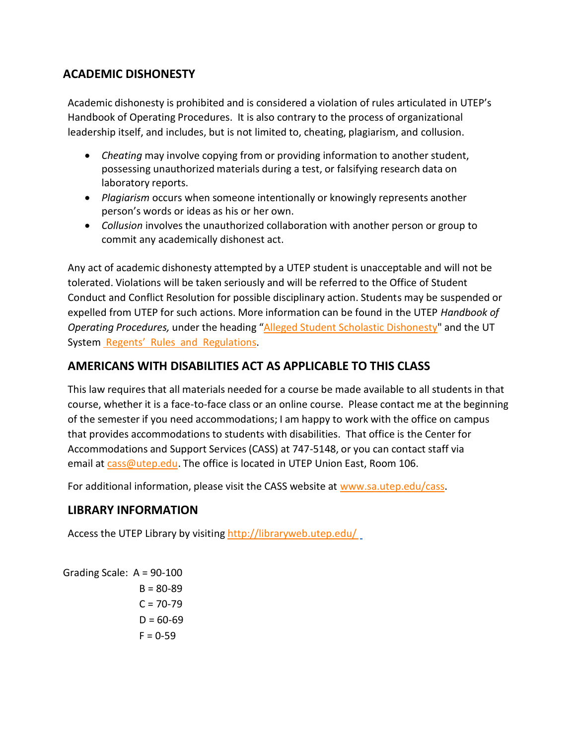# **ACADEMIC DISHONESTY**

Academic dishonesty is prohibited and is considered a violation of rules articulated in UTEP's Handbook of Operating Procedures. It is also contrary to the process of organizational leadership itself, and includes, but is not limited to, cheating, plagiarism, and collusion.

- *Cheating* may involve copying from or providing information to another student, possessing unauthorized materials during a test, or falsifying research data on laboratory reports.
- *Plagiarism* occurs when someone intentionally or knowingly represents another person's words or ideas as his or her own.
- Collusion involves the unauthorized collaboration with another person or group to commit any academically dishonest act.

Any act of academic dishonesty attempted by a UTEP student is unacceptable and will not be tolerated. Violations will be taken seriously and will be referred to the Office of Student Conduct and Conflict Resolution for possible disciplinary action. Students may be suspended or expelled from UTEP for such actions. More information can be found in the UTEP *Handbook of Operating Procedures,* under the heading "Alleged Student Scholastic [Dishonesty"](http://admin.utep.edu/Default.aspx?tabid=30381) and the UT System Regents' R[ules and Regulations.](http://www.utsystem.edu/bor/rules/homepage.htm)

# **AMERICANS WITH DISABILITIES ACT AS APPLICABLE TO THIS CLASS**

This law requires that all materials needed for a course be made available to all students in that course, whether it is a face-to-face class or an online course. Please contact me at the beginning of the semester if you need accommodations; I am happy to work with the office on campus that provides accommodations to students with disabilities. That office is the Center for Accommodations and Support Services (CASS) at 747-5148, or you can contact staff via email at [cass@utep.edu.](mailto:cass@utep.edu) The office is located in UTEP Union East, Room 106.

For additional information, please visit the CASS website at [www.sa.utep.edu/cass.](http://sa.utep.edu/cass/)

# **LIBRARY INFORMATION**

Access the UTEP Library by visiting <http://libraryweb.utep.edu/>

```
Grading Scale: A = 90-100
    B = 80 - 89C = 70-79D = 60 - 69F = 0-59
```